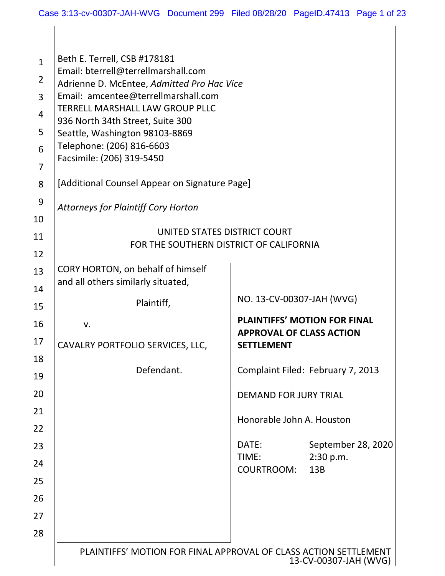| $\mathbf{1}$<br>$\overline{2}$<br>3<br>$\overline{4}$<br>5<br>6<br>$\overline{7}$ | Beth E. Terrell, CSB #178181<br>Email: bterrell@terrellmarshall.com<br>Adrienne D. McEntee, Admitted Pro Hac Vice<br>Email: amcentee@terrellmarshall.com<br><b>TERRELL MARSHALL LAW GROUP PLLC</b><br>936 North 34th Street, Suite 300<br>Seattle, Washington 98103-8869<br>Telephone: (206) 816-6603<br>Facsimile: (206) 319-5450 |                                                                                           |
|-----------------------------------------------------------------------------------|------------------------------------------------------------------------------------------------------------------------------------------------------------------------------------------------------------------------------------------------------------------------------------------------------------------------------------|-------------------------------------------------------------------------------------------|
| 8                                                                                 | [Additional Counsel Appear on Signature Page]                                                                                                                                                                                                                                                                                      |                                                                                           |
| 9<br>10                                                                           | <b>Attorneys for Plaintiff Cory Horton</b>                                                                                                                                                                                                                                                                                         |                                                                                           |
| 11                                                                                | UNITED STATES DISTRICT COURT                                                                                                                                                                                                                                                                                                       |                                                                                           |
| 12                                                                                | FOR THE SOUTHERN DISTRICT OF CALIFORNIA                                                                                                                                                                                                                                                                                            |                                                                                           |
| 13                                                                                | CORY HORTON, on behalf of himself                                                                                                                                                                                                                                                                                                  |                                                                                           |
| 14                                                                                | and all others similarly situated,                                                                                                                                                                                                                                                                                                 |                                                                                           |
| 15                                                                                | Plaintiff,                                                                                                                                                                                                                                                                                                                         | NO. 13-CV-00307-JAH (WVG)                                                                 |
| 16                                                                                | v.                                                                                                                                                                                                                                                                                                                                 | <b>PLAINTIFFS' MOTION FOR FINAL</b>                                                       |
| 17                                                                                | CAVALRY PORTFOLIO SERVICES, LLC,                                                                                                                                                                                                                                                                                                   | <b>APPROVAL OF CLASS ACTION</b><br><b>SETTLEMENT</b>                                      |
| 18                                                                                | Defendant.                                                                                                                                                                                                                                                                                                                         | Complaint Filed: February 7, 2013                                                         |
| 19                                                                                |                                                                                                                                                                                                                                                                                                                                    |                                                                                           |
| 20                                                                                |                                                                                                                                                                                                                                                                                                                                    | <b>DEMAND FOR JURY TRIAL</b>                                                              |
| 21                                                                                |                                                                                                                                                                                                                                                                                                                                    | Honorable John A. Houston                                                                 |
| 22                                                                                |                                                                                                                                                                                                                                                                                                                                    |                                                                                           |
| 23                                                                                |                                                                                                                                                                                                                                                                                                                                    | September 28, 2020<br>DATE:<br>TIME:<br>2:30 p.m.                                         |
| 24                                                                                |                                                                                                                                                                                                                                                                                                                                    | <b>COURTROOM:</b><br>13B                                                                  |
| 25                                                                                |                                                                                                                                                                                                                                                                                                                                    |                                                                                           |
| 26<br>27                                                                          |                                                                                                                                                                                                                                                                                                                                    |                                                                                           |
| 28                                                                                |                                                                                                                                                                                                                                                                                                                                    |                                                                                           |
|                                                                                   |                                                                                                                                                                                                                                                                                                                                    | PLAINTIFFS' MOTION FOR FINAL APPROVAL OF CLASS ACTION SETTLEMENT<br>13-CV-00307-JAH (WVG) |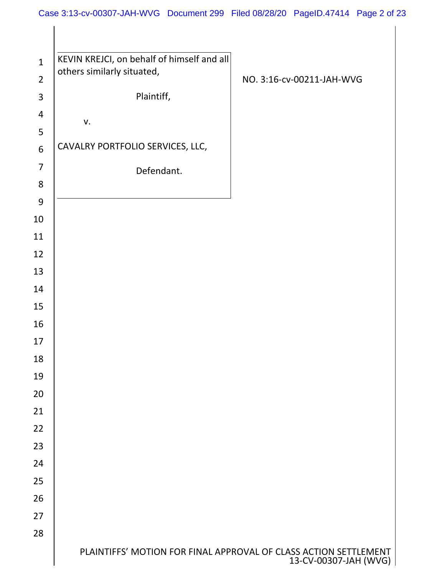$\mathsf{l}$ 

| $\mathbf{1}$<br>$\overline{2}$ | KEVIN KREJCI, on behalf of himself and all<br>others similarly situated, | NO. 3:16-cv-00211-JAH-WVG                                                                 |
|--------------------------------|--------------------------------------------------------------------------|-------------------------------------------------------------------------------------------|
| $\mathbf{3}$                   | Plaintiff,                                                               |                                                                                           |
| $\overline{\mathbf{4}}$        |                                                                          |                                                                                           |
| 5                              | V.                                                                       |                                                                                           |
| $\boldsymbol{6}$               | CAVALRY PORTFOLIO SERVICES, LLC,                                         |                                                                                           |
| $\overline{7}$                 | Defendant.                                                               |                                                                                           |
| 8                              |                                                                          |                                                                                           |
| $\overline{9}$                 |                                                                          |                                                                                           |
| 10                             |                                                                          |                                                                                           |
| 11                             |                                                                          |                                                                                           |
| 12                             |                                                                          |                                                                                           |
| 13                             |                                                                          |                                                                                           |
| 14                             |                                                                          |                                                                                           |
| 15                             |                                                                          |                                                                                           |
| 16                             |                                                                          |                                                                                           |
| 17                             |                                                                          |                                                                                           |
| 18                             |                                                                          |                                                                                           |
| 19                             |                                                                          |                                                                                           |
| 20                             |                                                                          |                                                                                           |
| 21                             |                                                                          |                                                                                           |
| 22                             |                                                                          |                                                                                           |
| 23                             |                                                                          |                                                                                           |
| 24                             |                                                                          |                                                                                           |
| 25                             |                                                                          |                                                                                           |
| 26                             |                                                                          |                                                                                           |
| 27                             |                                                                          |                                                                                           |
| 28                             |                                                                          |                                                                                           |
|                                |                                                                          | PLAINTIFFS' MOTION FOR FINAL APPROVAL OF CLASS ACTION SETTLEMENT<br>13-CV-00307-JAH (WVG) |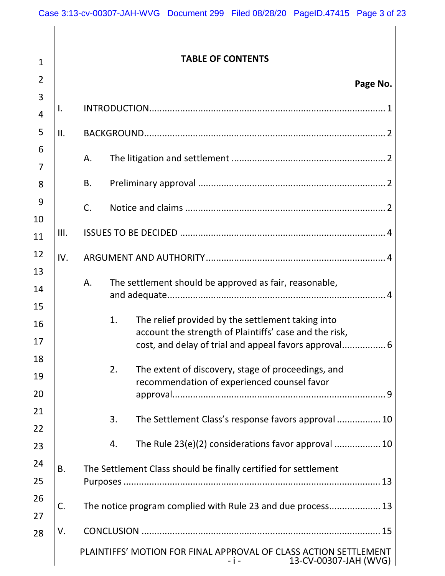$\mathsf{l}$ 

| $\mathbf{1}$   |     |    |    | <b>TABLE OF CONTENTS</b>                                                                                                                                             |
|----------------|-----|----|----|----------------------------------------------------------------------------------------------------------------------------------------------------------------------|
| $\overline{2}$ |     |    |    | Page No.                                                                                                                                                             |
| 3              |     |    |    |                                                                                                                                                                      |
| $\overline{4}$ | ı.  |    |    |                                                                                                                                                                      |
| 5              | II. |    |    |                                                                                                                                                                      |
| 6<br>7         |     | А. |    |                                                                                                                                                                      |
| 8              |     | В. |    |                                                                                                                                                                      |
| 9<br>10        |     | C. |    |                                                                                                                                                                      |
| 11             | Ш.  |    |    |                                                                                                                                                                      |
| 12             | IV. |    |    |                                                                                                                                                                      |
| 13<br>14<br>15 |     | Α. |    | The settlement should be approved as fair, reasonable,                                                                                                               |
| 16<br>17       |     |    | 1. | The relief provided by the settlement taking into<br>account the strength of Plaintiffs' case and the risk,<br>cost, and delay of trial and appeal favors approval 6 |
| 18<br>19<br>20 |     |    | 2. | The extent of discovery, stage of proceedings, and<br>recommendation of experienced counsel favor                                                                    |
| 21<br>22       |     |    | 3. | The Settlement Class's response favors approval  10                                                                                                                  |
| 23             |     |    | 4. | The Rule 23(e)(2) considerations favor approval  10                                                                                                                  |
| 24<br>25       | В.  |    |    | The Settlement Class should be finally certified for settlement                                                                                                      |
| 26<br>27       | C.  |    |    | The notice program complied with Rule 23 and due process 13                                                                                                          |
| 28             | V.  |    |    |                                                                                                                                                                      |
|                |     |    |    | PLAINTIFFS' MOTION FOR FINAL APPROVAL OF CLASS ACTION SETTLEMENT<br>13-CV-00307-JAH (WVG)<br>$-1$ $-$                                                                |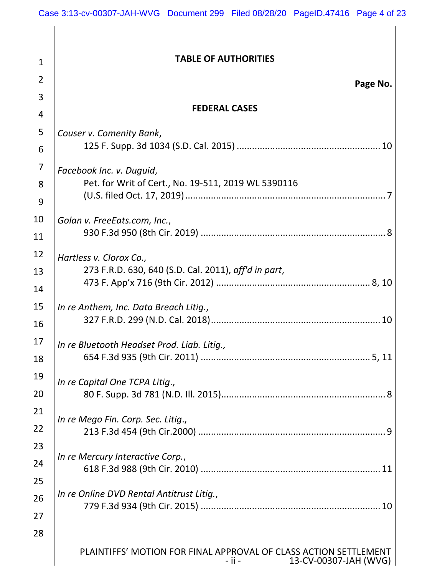| 1              | <b>TABLE OF AUTHORITIES</b>                                                                                  |
|----------------|--------------------------------------------------------------------------------------------------------------|
| $\overline{2}$ | Page No.                                                                                                     |
| 3              |                                                                                                              |
| 4              | <b>FEDERAL CASES</b>                                                                                         |
| 5              | Couser v. Comenity Bank,                                                                                     |
| 6              |                                                                                                              |
| 7              | Facebook Inc. v. Duguid,                                                                                     |
| 8              | Pet. for Writ of Cert., No. 19-511, 2019 WL 5390116                                                          |
| 9              |                                                                                                              |
| 10             | Golan v. FreeEats.com, Inc.,                                                                                 |
| 11             |                                                                                                              |
| 12             | Hartless v. Clorox Co.,                                                                                      |
| 13             | 273 F.R.D. 630, 640 (S.D. Cal. 2011), aff'd in part,                                                         |
| 14             |                                                                                                              |
| 15             | In re Anthem, Inc. Data Breach Litig.,                                                                       |
| 16             |                                                                                                              |
| 17             | In re Bluetooth Headset Prod. Liab. Litig.,                                                                  |
| 18             |                                                                                                              |
| 19             | In re Capital One TCPA Litig.,                                                                               |
| 20             |                                                                                                              |
| 21             | In re Mego Fin. Corp. Sec. Litig.,                                                                           |
| 22             |                                                                                                              |
| 23             |                                                                                                              |
| 24             | In re Mercury Interactive Corp.,                                                                             |
| 25             |                                                                                                              |
| 26             | In re Online DVD Rental Antitrust Litig.,                                                                    |
| 27             |                                                                                                              |
| 28             |                                                                                                              |
|                | PLAINTIFFS' MOTION FOR FINAL APPROVAL OF CLASS ACTION SETTLEMENT<br>13-CV-00307-JAH (WVG)  <br>$-$ ii $   -$ |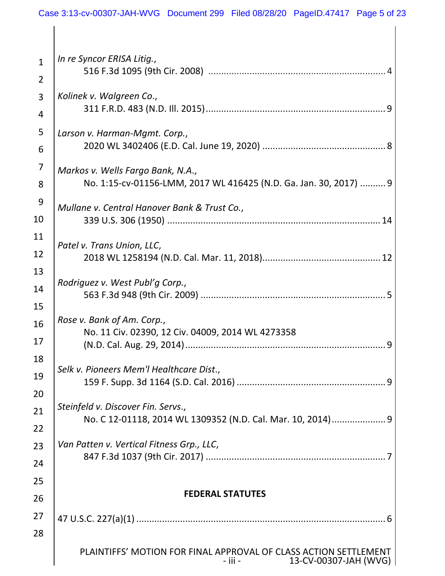$\mathbf{\mathsf{I}}$ 

| $\mathbf{1}$   | In re Syncor ERISA Litig.,                                                                                 |
|----------------|------------------------------------------------------------------------------------------------------------|
| $\overline{2}$ |                                                                                                            |
| $\overline{3}$ | Kolinek v. Walgreen Co.,                                                                                   |
| 4              |                                                                                                            |
| 5              | Larson v. Harman-Mgmt. Corp.,                                                                              |
| 6              |                                                                                                            |
| 7<br>8         | Markos v. Wells Fargo Bank, N.A.,<br>No. 1:15-cv-01156-LMM, 2017 WL 416425 (N.D. Ga. Jan. 30, 2017)  9     |
| 9<br>10        | Mullane v. Central Hanover Bank & Trust Co.,                                                               |
| 11             | Patel v. Trans Union, LLC,                                                                                 |
| 12             |                                                                                                            |
| 13             | Rodriguez v. West Publ'g Corp.,                                                                            |
| 14             |                                                                                                            |
| 15             | Rose v. Bank of Am. Corp.,                                                                                 |
| 16<br>17       | No. 11 Civ. 02390, 12 Civ. 04009, 2014 WL 4273358                                                          |
| 18             | Selk v. Pioneers Mem'l Healthcare Dist.,                                                                   |
| 19<br>20       |                                                                                                            |
| 21             | Steinfeld v. Discover Fin. Servs.,                                                                         |
| 22             | No. C 12-01118, 2014 WL 1309352 (N.D. Cal. Mar. 10, 2014) 9                                                |
| 23             | Van Patten v. Vertical Fitness Grp., LLC,                                                                  |
| 24             |                                                                                                            |
| 25             |                                                                                                            |
| 26             | <b>FEDERAL STATUTES</b>                                                                                    |
| 27             |                                                                                                            |
| 28             |                                                                                                            |
|                | PLAINTIFFS' MOTION FOR FINAL APPROVAL OF CLASS ACTION SETTLEMENT<br>13-CV-00307-JAH (WVG)<br>$-$ iii $  -$ |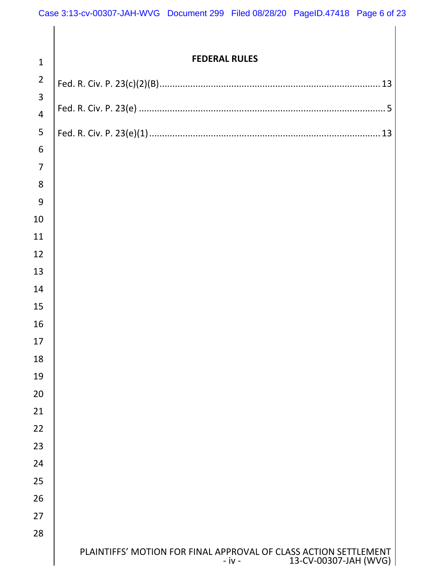| $\mathbf{1}$   | <b>FEDERAL RULES</b>                                                                                  |
|----------------|-------------------------------------------------------------------------------------------------------|
| $\overline{2}$ | 13                                                                                                    |
| $\overline{3}$ |                                                                                                       |
| $\overline{4}$ |                                                                                                       |
| 5              |                                                                                                       |
| $6\,$          |                                                                                                       |
| $\overline{7}$ |                                                                                                       |
| 8              |                                                                                                       |
| 9              |                                                                                                       |
| 10             |                                                                                                       |
| 11             |                                                                                                       |
| 12             |                                                                                                       |
| 13             |                                                                                                       |
| 14             |                                                                                                       |
| 15             |                                                                                                       |
| 16             |                                                                                                       |
| 17             |                                                                                                       |
| 18             |                                                                                                       |
| 19             |                                                                                                       |
| 20             |                                                                                                       |
| 21             |                                                                                                       |
| 22             |                                                                                                       |
| 23             |                                                                                                       |
| 24             |                                                                                                       |
| 25             |                                                                                                       |
| 26             |                                                                                                       |
| 27             |                                                                                                       |
| 28             |                                                                                                       |
|                | PLAINTIFFS' MOTION FOR FINAL APPROVAL OF CLASS ACTION SETTLEMENT<br>13-CV-00307-JAH (WVG)  <br>- iv - |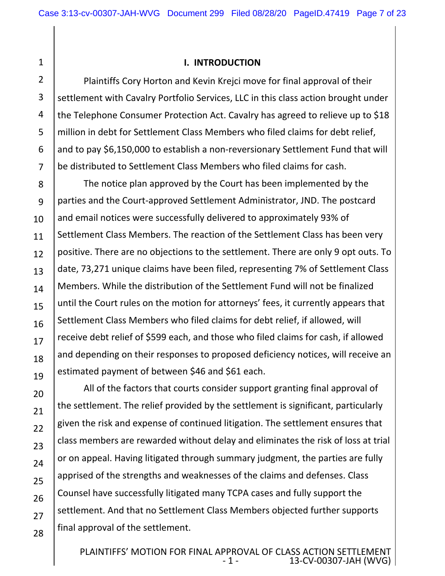1

### **I. INTRODUCTION**

2 3 4 5 6 7 Plaintiffs Cory Horton and Kevin Krejci move for final approval of their settlement with Cavalry Portfolio Services, LLC in this class action brought under the Telephone Consumer Protection Act. Cavalry has agreed to relieve up to \$18 million in debt for Settlement Class Members who filed claims for debt relief, and to pay \$6,150,000 to establish a non‐reversionary Settlement Fund that will be distributed to Settlement Class Members who filed claims for cash.

8 The notice plan approved by the Court has been implemented by the parties and the Court‐approved Settlement Administrator, JND. The postcard and email notices were successfully delivered to approximately 93% of Settlement Class Members. The reaction of the Settlement Class has been very positive. There are no objections to the settlement. There are only 9 opt outs. To date, 73,271 unique claims have been filed, representing 7% of Settlement Class Members. While the distribution of the Settlement Fund will not be finalized until the Court rules on the motion for attorneys' fees, it currently appears that Settlement Class Members who filed claims for debt relief, if allowed, will receive debt relief of \$599 each, and those who filed claims for cash, if allowed and depending on their responses to proposed deficiency notices, will receive an estimated payment of between \$46 and \$61 each.

All of the factors that courts consider support granting final approval of the settlement. The relief provided by the settlement is significant, particularly given the risk and expense of continued litigation. The settlement ensures that class members are rewarded without delay and eliminates the risk of loss at trial or on appeal. Having litigated through summary judgment, the parties are fully apprised of the strengths and weaknesses of the claims and defenses. Class Counsel have successfully litigated many TCPA cases and fully support the settlement. And that no Settlement Class Members objected further supports final approval of the settlement.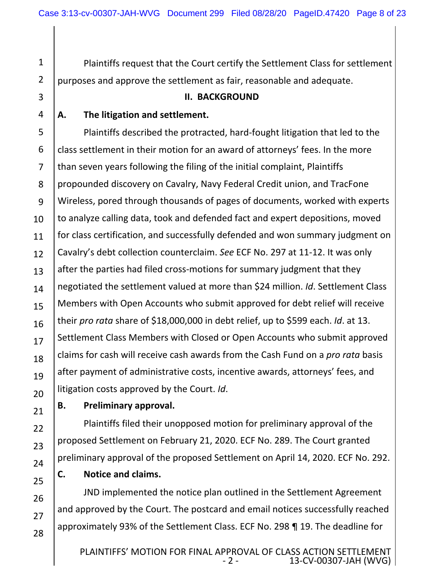Plaintiffs request that the Court certify the Settlement Class for settlement purposes and approve the settlement as fair, reasonable and adequate.

#### **II. BACKGROUND**

#### **A. The litigation and settlement.**

5 Plaintiffs described the protracted, hard‐fought litigation that led to the class settlement in their motion for an award of attorneys' fees. In the more than seven years following the filing of the initial complaint, Plaintiffs propounded discovery on Cavalry, Navy Federal Credit union, and TracFone Wireless, pored through thousands of pages of documents, worked with experts to analyze calling data, took and defended fact and expert depositions, moved for class certification, and successfully defended and won summary judgment on Cavalry's debt collection counterclaim. *See* ECF No. 297 at 11‐12. It was only after the parties had filed cross‐motions for summary judgment that they negotiated the settlement valued at more than \$24 million. *Id*. Settlement Class Members with Open Accounts who submit approved for debt relief will receive their *pro rata* share of \$18,000,000 in debt relief, up to \$599 each. *Id*. at 13. Settlement Class Members with Closed or Open Accounts who submit approved claims for cash will receive cash awards from the Cash Fund on a *pro rata* basis after payment of administrative costs, incentive awards, attorneys' fees, and litigation costs approved by the Court. *Id*.

**B. Preliminary approval.** 

Plaintiffs filed their unopposed motion for preliminary approval of the proposed Settlement on February 21, 2020. ECF No. 289. The Court granted preliminary approval of the proposed Settlement on April 14, 2020. ECF No. 292.

### **C. Notice and claims.**

JND implemented the notice plan outlined in the Settlement Agreement and approved by the Court. The postcard and email notices successfully reached approximately 93% of the Settlement Class. ECF No. 298 ¶ 19. The deadline for

1

2

3

4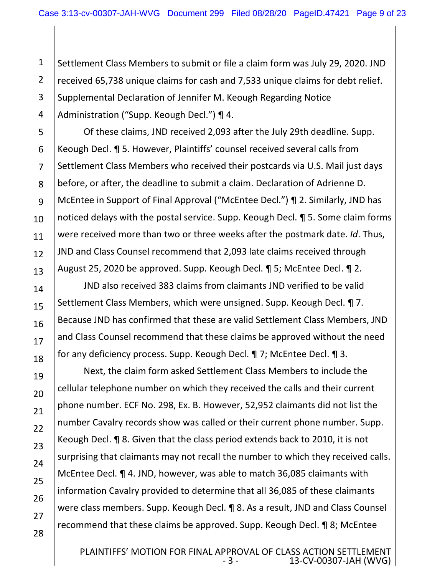1 2 3 4 Settlement Class Members to submit or file a claim form was July 29, 2020. JND received 65,738 unique claims for cash and 7,533 unique claims for debt relief. Supplemental Declaration of Jennifer M. Keough Regarding Notice Administration ("Supp. Keough Decl.") ¶ 4.

Of these claims, JND received 2,093 after the July 29th deadline. Supp. Keough Decl. ¶ 5. However, Plaintiffs' counsel received several calls from Settlement Class Members who received their postcards via U.S. Mail just days before, or after, the deadline to submit a claim. Declaration of Adrienne D. McEntee in Support of Final Approval ("McEntee Decl.") ¶ 2. Similarly, JND has noticed delays with the postal service. Supp. Keough Decl. **¶** 5. Some claim forms were received more than two or three weeks after the postmark date. *Id*. Thus, JND and Class Counsel recommend that 2,093 late claims received through August 25, 2020 be approved. Supp. Keough Decl. ¶ 5; McEntee Decl. ¶ 2.

JND also received 383 claims from claimants JND verified to be valid Settlement Class Members, which were unsigned. Supp. Keough Decl. ¶ 7. Because JND has confirmed that these are valid Settlement Class Members, JND and Class Counsel recommend that these claims be approved without the need for any deficiency process. Supp. Keough Decl. ¶ 7; McEntee Decl. ¶ 3.

Next, the claim form asked Settlement Class Members to include the cellular telephone number on which they received the calls and their current phone number. ECF No. 298, Ex. B. However, 52,952 claimants did not list the number Cavalry records show was called or their current phone number. Supp. Keough Decl. ¶ 8. Given that the class period extends back to 2010, it is not surprising that claimants may not recall the number to which they received calls. McEntee Decl. ¶ 4. JND, however, was able to match 36,085 claimants with information Cavalry provided to determine that all 36,085 of these claimants were class members. Supp. Keough Decl. ¶ 8. As a result, JND and Class Counsel recommend that these claims be approved. Supp. Keough Decl. ¶ 8; McEntee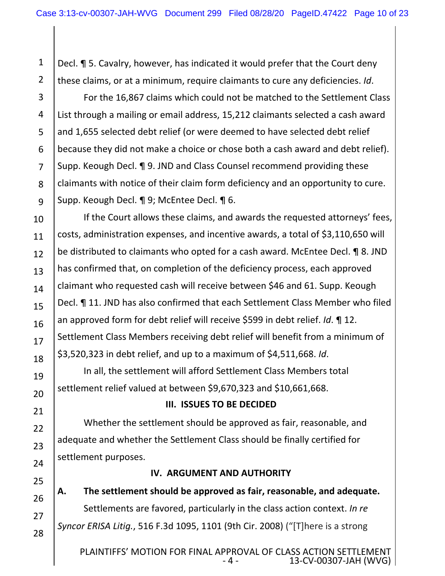1 2 Decl. ¶ 5. Cavalry, however, has indicated it would prefer that the Court deny these claims, or at a minimum, require claimants to cure any deficiencies. *Id*.

3 4 For the 16,867 claims which could not be matched to the Settlement Class List through a mailing or email address, 15,212 claimants selected a cash award and 1,655 selected debt relief (or were deemed to have selected debt relief because they did not make a choice or chose both a cash award and debt relief). Supp. Keough Decl. ¶ 9. JND and Class Counsel recommend providing these claimants with notice of their claim form deficiency and an opportunity to cure. Supp. Keough Decl. ¶ 9; McEntee Decl. ¶ 6.

If the Court allows these claims, and awards the requested attorneys' fees, costs, administration expenses, and incentive awards, a total of \$3,110,650 will be distributed to claimants who opted for a cash award. McEntee Decl. **¶** 8. JND has confirmed that, on completion of the deficiency process, each approved claimant who requested cash will receive between \$46 and 61. Supp. Keough Decl. ¶ 11. JND has also confirmed that each Settlement Class Member who filed an approved form for debt relief will receive \$599 in debt relief. *Id*. ¶ 12. Settlement Class Members receiving debt relief will benefit from a minimum of \$3,520,323 in debt relief, and up to a maximum of \$4,511,668. *Id*.

In all, the settlement will afford Settlement Class Members total settlement relief valued at between \$9,670,323 and \$10,661,668.

### **III. ISSUES TO BE DECIDED**

Whether the settlement should be approved as fair, reasonable, and adequate and whether the Settlement Class should be finally certified for settlement purposes.

### **IV. ARGUMENT AND AUTHORITY**

**A. The settlement should be approved as fair, reasonable, and adequate.**  Settlements are favored, particularly in the class action context. *In re Syncor ERISA Litig.*, 516 F.3d 1095, 1101 (9th Cir. 2008) ("[T]here is a strong

PLAINTIFFS' MOTION FOR FINAL APPROVAL OF CLASS ACTION SETTLEMENT<br>4 - 13-CV-00307-JAH (WVG) ‐ 4 ‐ 13‐CV‐00307‐JAH (WVG)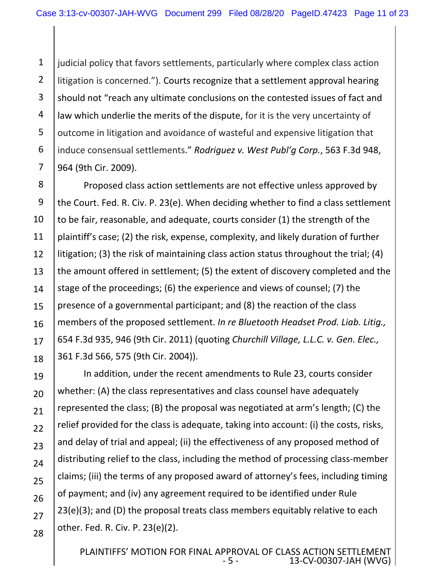1 2 3 4 5 6 7 judicial policy that favors settlements, particularly where complex class action litigation is concerned."). Courts recognize that a settlement approval hearing should not "reach any ultimate conclusions on the contested issues of fact and law which underlie the merits of the dispute, for it is the very uncertainty of outcome in litigation and avoidance of wasteful and expensive litigation that induce consensual settlements." *Rodriguez v. West Publ'g Corp.*, 563 F.3d 948, 964 (9th Cir. 2009).

8 9 10 11 12 13 14 15 16 17 18 Proposed class action settlements are not effective unless approved by the Court. Fed. R. Civ. P. 23(e). When deciding whether to find a class settlement to be fair, reasonable, and adequate, courts consider (1) the strength of the plaintiff's case; (2) the risk, expense, complexity, and likely duration of further litigation; (3) the risk of maintaining class action status throughout the trial; (4) the amount offered in settlement; (5) the extent of discovery completed and the stage of the proceedings; (6) the experience and views of counsel; (7) the presence of a governmental participant; and (8) the reaction of the class members of the proposed settlement. *In re Bluetooth Headset Prod. Liab. Litig.,*  654 F.3d 935, 946 (9th Cir. 2011) (quoting *Churchill Village, L.L.C. v. Gen. Elec.,*  361 F.3d 566, 575 (9th Cir. 2004)).

21 22 23 24 26 28 In addition, under the recent amendments to Rule 23, courts consider whether: (A) the class representatives and class counsel have adequately represented the class; (B) the proposal was negotiated at arm's length; (C) the relief provided for the class is adequate, taking into account: (i) the costs, risks, and delay of trial and appeal; (ii) the effectiveness of any proposed method of distributing relief to the class, including the method of processing class‐member claims; (iii) the terms of any proposed award of attorney's fees, including timing of payment; and (iv) any agreement required to be identified under Rule 23(e)(3); and (D) the proposal treats class members equitably relative to each other. Fed. R. Civ. P. 23(e)(2).

19

20

25

27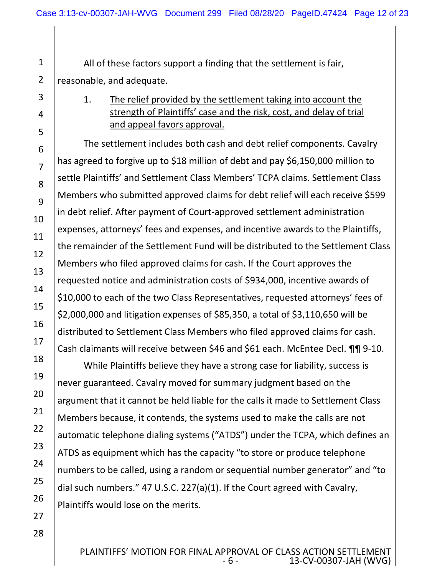All of these factors support a finding that the settlement is fair, reasonable, and adequate.

> 1. The relief provided by the settlement taking into account the strength of Plaintiffs' case and the risk, cost, and delay of trial and appeal favors approval.

The settlement includes both cash and debt relief components. Cavalry has agreed to forgive up to \$18 million of debt and pay \$6,150,000 million to settle Plaintiffs' and Settlement Class Members' TCPA claims. Settlement Class Members who submitted approved claims for debt relief will each receive \$599 in debt relief. After payment of Court‐approved settlement administration expenses, attorneys' fees and expenses, and incentive awards to the Plaintiffs, the remainder of the Settlement Fund will be distributed to the Settlement Class Members who filed approved claims for cash. If the Court approves the requested notice and administration costs of \$934,000, incentive awards of \$10,000 to each of the two Class Representatives, requested attorneys' fees of \$2,000,000 and litigation expenses of \$85,350, a total of \$3,110,650 will be distributed to Settlement Class Members who filed approved claims for cash. Cash claimants will receive between \$46 and \$61 each. McEntee Decl. ¶¶ 9‐10.

While Plaintiffs believe they have a strong case for liability, success is never guaranteed. Cavalry moved for summary judgment based on the argument that it cannot be held liable for the calls it made to Settlement Class Members because, it contends, the systems used to make the calls are not automatic telephone dialing systems ("ATDS") under the TCPA, which defines an ATDS as equipment which has the capacity "to store or produce telephone numbers to be called, using a random or sequential number generator" and "to dial such numbers." 47 U.S.C. 227(a)(1). If the Court agreed with Cavalry, Plaintiffs would lose on the merits.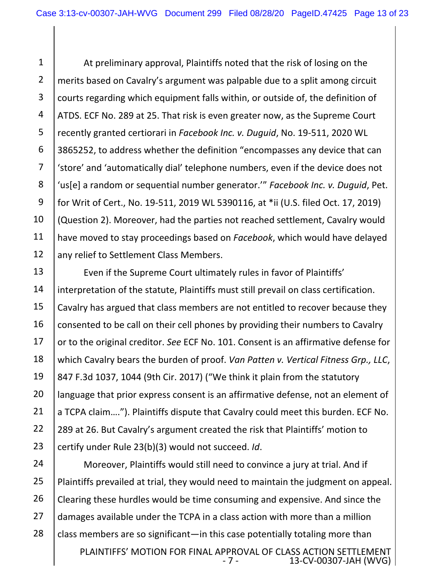1 2 3 4 5 6 7 8 9 10 11 12 At preliminary approval, Plaintiffs noted that the risk of losing on the merits based on Cavalry's argument was palpable due to a split among circuit courts regarding which equipment falls within, or outside of, the definition of ATDS. ECF No. 289 at 25. That risk is even greater now, as the Supreme Court recently granted certiorari in *Facebook Inc. v. Duguid*, No. 19‐511, 2020 WL 3865252, to address whether the definition "encompasses any device that can 'store' and 'automatically dial' telephone numbers, even if the device does not 'us[e] a random or sequential number generator.'" *Facebook Inc. v. Duguid*, Pet. for Writ of Cert., No. 19‐511, 2019 WL 5390116, at \*ii (U.S. filed Oct. 17, 2019) (Question 2). Moreover, had the parties not reached settlement, Cavalry would have moved to stay proceedings based on *Facebook*, which would have delayed any relief to Settlement Class Members.

13 14 15 16 17 18 19 20 21 22 23 Even if the Supreme Court ultimately rules in favor of Plaintiffs' interpretation of the statute, Plaintiffs must still prevail on class certification. Cavalry has argued that class members are not entitled to recover because they consented to be call on their cell phones by providing their numbers to Cavalry or to the original creditor. *See* ECF No. 101. Consent is an affirmative defense for which Cavalry bears the burden of proof. *Van Patten v. Vertical Fitness Grp., LLC*, 847 F.3d 1037, 1044 (9th Cir. 2017) ("We think it plain from the statutory language that prior express consent is an affirmative defense, not an element of a TCPA claim…."). Plaintiffs dispute that Cavalry could meet this burden. ECF No. 289 at 26. But Cavalry's argument created the risk that Plaintiffs' motion to certify under Rule 23(b)(3) would not succeed. *Id*.

PLAINTIFFS' MOTION FOR FINAL APPROVAL OF CLASS ACTION SETTLEMENT<br>13-CV-00307-JAH (WVG) ‐ 7 ‐ 13‐CV‐00307‐JAH (WVG) 24 25 26 27 28 Moreover, Plaintiffs would still need to convince a jury at trial. And if Plaintiffs prevailed at trial, they would need to maintain the judgment on appeal. Clearing these hurdles would be time consuming and expensive. And since the damages available under the TCPA in a class action with more than a million class members are so significant—in this case potentially totaling more than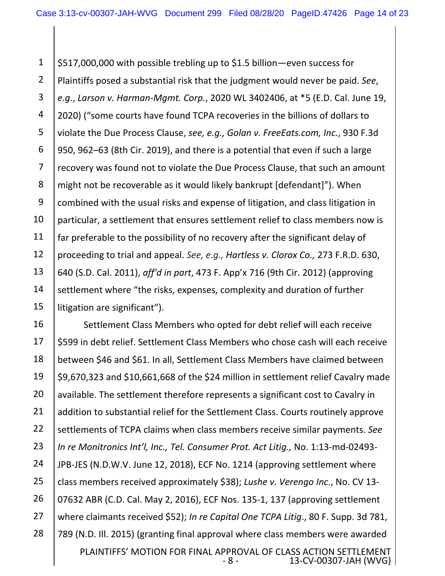1 2 3 4 5 6 7 8 9 10 11 12 13 14 15 \$517,000,000 with possible trebling up to \$1.5 billion—even success for Plaintiffs posed a substantial risk that the judgment would never be paid. *See*, *e.g.*, *Larson v. Harman‐Mgmt. Corp.*, 2020 WL 3402406, at \*5 (E.D. Cal. June 19, 2020) ("some courts have found TCPA recoveries in the billions of dollars to violate the Due Process Clause, *see, e.g., Golan v. FreeEats.com, Inc.*, 930 F.3d 950, 962–63 (8th Cir. 2019), and there is a potential that even if such a large recovery was found not to violate the Due Process Clause, that such an amount might not be recoverable as it would likely bankrupt [defendant]"). When combined with the usual risks and expense of litigation, and class litigation in particular, a settlement that ensures settlement relief to class members now is far preferable to the possibility of no recovery after the significant delay of proceeding to trial and appeal. *See, e.g., Hartless v. Clorox Co.,* 273 F.R.D. 630, 640 (S.D. Cal. 2011), *aff'd in part*, 473 F. App'x 716 (9th Cir. 2012) (approving settlement where "the risks, expenses, complexity and duration of further litigation are significant").

PLAINTIFFS' MOTION FOR FINAL APPROVAL OF CLASS ACTION SETTLEMENT<br>13-CV-00307-JAH (WVG) - 8 -‐ 8 ‐ 13‐CV‐00307‐JAH (WVG) 16 17 18 19 20 21 22 23 24 25 26 27 28 Settlement Class Members who opted for debt relief will each receive \$599 in debt relief. Settlement Class Members who chose cash will each receive between \$46 and \$61. In all, Settlement Class Members have claimed between \$9,670,323 and \$10,661,668 of the \$24 million in settlement relief Cavalry made available. The settlement therefore represents a significant cost to Cavalry in addition to substantial relief for the Settlement Class. Courts routinely approve settlements of TCPA claims when class members receive similar payments. *See In re Monitronics Int'l, Inc., Tel. Consumer Prot. Act Litig.,* No. 1:13‐md‐02493‐ JPB‐JES (N.D.W.V. June 12, 2018), ECF No. 1214 (approving settlement where class members received approximately \$38); *Lushe v. Verengo Inc*., No. CV 13‐ 07632 ABR (C.D. Cal. May 2, 2016), ECF Nos. 135‐1, 137 (approving settlement where claimants received \$52); *In re Capital One TCPA Litig*., 80 F. Supp. 3d 781, 789 (N.D. Ill. 2015) (granting final approval where class members were awarded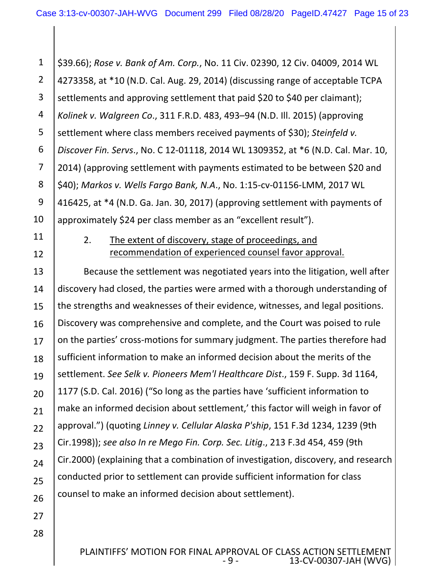1 2 3 4 5 6 7 8 9 10 \$39.66); *Rose v. Bank of Am. Corp.*, No. 11 Civ. 02390, 12 Civ. 04009, 2014 WL 4273358, at \*10 (N.D. Cal. Aug. 29, 2014) (discussing range of acceptable TCPA settlements and approving settlement that paid \$20 to \$40 per claimant); *Kolinek v. Walgreen Co*., 311 F.R.D. 483, 493–94 (N.D. Ill. 2015) (approving settlement where class members received payments of \$30); *Steinfeld v. Discover Fin. Servs*., No. C 12‐01118, 2014 WL 1309352, at \*6 (N.D. Cal. Mar. 10, 2014) (approving settlement with payments estimated to be between \$20 and \$40); *Markos v. Wells Fargo Bank, N.A*., No. 1:15‐cv‐01156‐LMM, 2017 WL 416425, at \*4 (N.D. Ga. Jan. 30, 2017) (approving settlement with payments of approximately \$24 per class member as an "excellent result").

11

12

2. The extent of discovery, stage of proceedings, and recommendation of experienced counsel favor approval.

13 14 15 16 17 18 19 20 21 22 23 24 25 26 Because the settlement was negotiated years into the litigation, well after discovery had closed, the parties were armed with a thorough understanding of the strengths and weaknesses of their evidence, witnesses, and legal positions. Discovery was comprehensive and complete, and the Court was poised to rule on the parties' cross‐motions for summary judgment. The parties therefore had sufficient information to make an informed decision about the merits of the settlement. *See Selk v. Pioneers Mem'l Healthcare Dist*., 159 F. Supp. 3d 1164, 1177 (S.D. Cal. 2016) ("So long as the parties have 'sufficient information to make an informed decision about settlement,' this factor will weigh in favor of approval.") (quoting *Linney v. Cellular Alaska P'ship*, 151 F.3d 1234, 1239 (9th Cir.1998)); *see also In re Mego Fin. Corp. Sec. Litig*., 213 F.3d 454, 459 (9th Cir.2000) (explaining that a combination of investigation, discovery, and research conducted prior to settlement can provide sufficient information for class counsel to make an informed decision about settlement).

27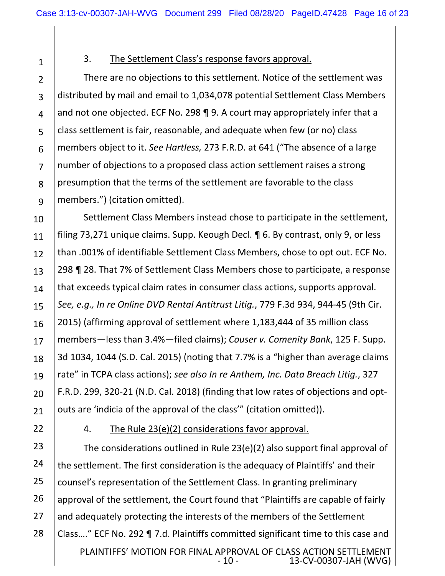1

2

3

4

5

6

### 3. The Settlement Class's response favors approval.

7 8 9 There are no objections to this settlement. Notice of the settlement was distributed by mail and email to 1,034,078 potential Settlement Class Members and not one objected. ECF No. 298 ¶ 9. A court may appropriately infer that a class settlement is fair, reasonable, and adequate when few (or no) class members object to it. *See Hartless,* 273 F.R.D. at 641 ("The absence of a large number of objections to a proposed class action settlement raises a strong presumption that the terms of the settlement are favorable to the class members.") (citation omitted).

10 11 12 13 14 15 16 17 18 19 20 Settlement Class Members instead chose to participate in the settlement, filing 73,271 unique claims. Supp. Keough Decl. ¶ 6. By contrast, only 9, or less than .001% of identifiable Settlement Class Members, chose to opt out. ECF No. 298 ¶ 28. That 7% of Settlement Class Members chose to participate, a response that exceeds typical claim rates in consumer class actions, supports approval. *See, e.g., In re Online DVD Rental Antitrust Litig.*, 779 F.3d 934, 944‐45 (9th Cir. 2015) (affirming approval of settlement where 1,183,444 of 35 million class members—less than 3.4%—filed claims); *Couser v. Comenity Bank*, 125 F. Supp. 3d 1034, 1044 (S.D. Cal. 2015) (noting that 7.7% is a "higher than average claims rate" in TCPA class actions); *see also In re Anthem, Inc. Data Breach Litig.*, 327 F.R.D. 299, 320‐21 (N.D. Cal. 2018) (finding that low rates of objections and opt‐ outs are 'indicia of the approval of the class'" (citation omitted)).

21 22 23

## 4. The Rule 23(e)(2) considerations favor approval.

PLAINTIFFS' MOTION FOR FINAL APPROVAL OF CLASS ACTION SETTLEMENT<br>13-CV-00307-JAH (WVG) - 10 -‐ 10 ‐ 13‐CV‐00307‐JAH (WVG) 24 25 26 27 28 The considerations outlined in Rule 23(e)(2) also support final approval of the settlement. The first consideration is the adequacy of Plaintiffs' and their counsel's representation of the Settlement Class. In granting preliminary approval of the settlement, the Court found that "Plaintiffs are capable of fairly and adequately protecting the interests of the members of the Settlement Class…." ECF No. 292 ¶ 7.d. Plaintiffs committed significant time to this case and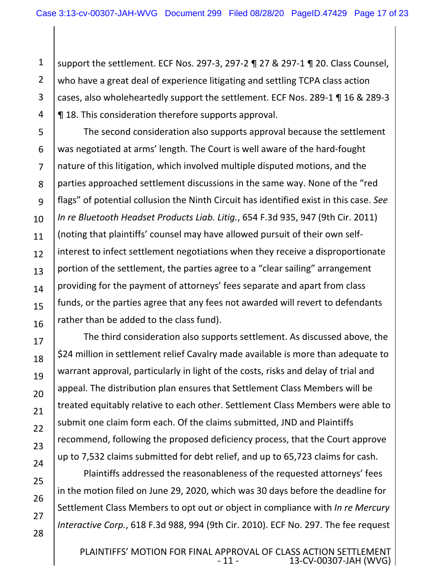1 2 3 support the settlement. ECF Nos. 297‐3, 297‐2 ¶ 27 & 297‐1 ¶ 20. Class Counsel, who have a great deal of experience litigating and settling TCPA class action cases, also wholeheartedly support the settlement. ECF Nos. 289‐1 ¶ 16 & 289‐3 ¶ 18. This consideration therefore supports approval.

The second consideration also supports approval because the settlement was negotiated at arms' length. The Court is well aware of the hard‐fought nature of this litigation, which involved multiple disputed motions, and the parties approached settlement discussions in the same way. None of the "red flags" of potential collusion the Ninth Circuit has identified exist in this case. *See In re Bluetooth Headset Products Liab. Litig.*, 654 F.3d 935, 947 (9th Cir. 2011) (noting that plaintiffs' counsel may have allowed pursuit of their own self‐ interest to infect settlement negotiations when they receive a disproportionate portion of the settlement, the parties agree to a "clear sailing" arrangement providing for the payment of attorneys' fees separate and apart from class funds, or the parties agree that any fees not awarded will revert to defendants rather than be added to the class fund).

The third consideration also supports settlement. As discussed above, the \$24 million in settlement relief Cavalry made available is more than adequate to warrant approval, particularly in light of the costs, risks and delay of trial and appeal. The distribution plan ensures that Settlement Class Members will be treated equitably relative to each other. Settlement Class Members were able to submit one claim form each. Of the claims submitted, JND and Plaintiffs recommend, following the proposed deficiency process, that the Court approve up to 7,532 claims submitted for debt relief, and up to 65,723 claims for cash.

Plaintiffs addressed the reasonableness of the requested attorneys' fees in the motion filed on June 29, 2020, which was 30 days before the deadline for Settlement Class Members to opt out or object in compliance with *In re Mercury Interactive Corp.*, 618 F.3d 988, 994 (9th Cir. 2010). ECF No. 297. The fee request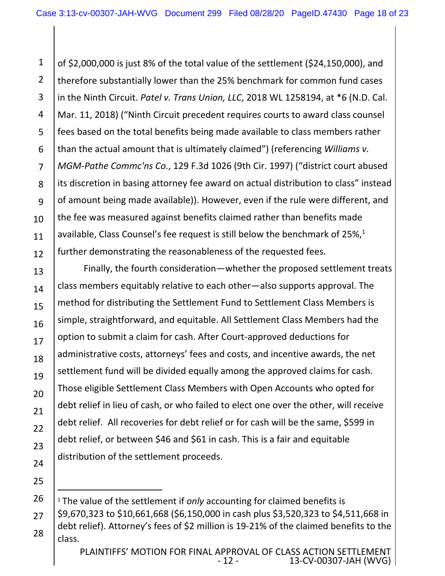1 2 3 4 5 6 7 8 9 of \$2,000,000 is just 8% of the total value of the settlement (\$24,150,000), and therefore substantially lower than the 25% benchmark for common fund cases in the Ninth Circuit. *Patel v. Trans Union, LLC*, 2018 WL 1258194, at \*6 (N.D. Cal. Mar. 11, 2018) ("Ninth Circuit precedent requires courts to award class counsel fees based on the total benefits being made available to class members rather than the actual amount that is ultimately claimed") (referencing *Williams v. MGM‐Pathe Commc'ns Co.*, 129 F.3d 1026 (9th Cir. 1997) ("district court abused its discretion in basing attorney fee award on actual distribution to class" instead of amount being made available)). However, even if the rule were different, and the fee was measured against benefits claimed rather than benefits made available, Class Counsel's fee request is still below the benchmark of 25%,<sup>1</sup> further demonstrating the reasonableness of the requested fees.

Finally, the fourth consideration—whether the proposed settlement treats class members equitably relative to each other—also supports approval. The method for distributing the Settlement Fund to Settlement Class Members is simple, straightforward, and equitable. All Settlement Class Members had the option to submit a claim for cash. After Court‐approved deductions for administrative costs, attorneys' fees and costs, and incentive awards, the net settlement fund will be divided equally among the approved claims for cash. Those eligible Settlement Class Members with Open Accounts who opted for debt relief in lieu of cash, or who failed to elect one over the other, will receive debt relief. All recoveries for debt relief or for cash will be the same, \$599 in debt relief, or between \$46 and \$61 in cash. This is a fair and equitable distribution of the settlement proceeds.

<sup>1</sup> The value of the settlement if *only* accounting for claimed benefits is \$9,670,323 to \$10,661,668 (\$6,150,000 in cash plus \$3,520,323 to \$4,511,668 in debt relief). Attorney's fees of \$2 million is 19‐21% of the claimed benefits to the class.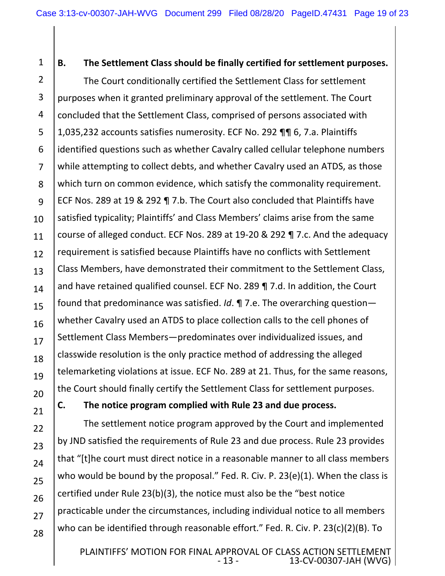1 2 3 4 5 **B. The Settlement Class should be finally certified for settlement purposes.**  The Court conditionally certified the Settlement Class for settlement purposes when it granted preliminary approval of the settlement. The Court concluded that the Settlement Class, comprised of persons associated with 1,035,232 accounts satisfies numerosity. ECF No. 292 ¶¶ 6, 7.a. Plaintiffs identified questions such as whether Cavalry called cellular telephone numbers while attempting to collect debts, and whether Cavalry used an ATDS, as those which turn on common evidence, which satisfy the commonality requirement. ECF Nos. 289 at 19 & 292 ¶ 7.b. The Court also concluded that Plaintiffs have satisfied typicality; Plaintiffs' and Class Members' claims arise from the same course of alleged conduct. ECF Nos. 289 at 19‐20 & 292 ¶ 7.c. And the adequacy requirement is satisfied because Plaintiffs have no conflicts with Settlement Class Members, have demonstrated their commitment to the Settlement Class, and have retained qualified counsel. ECF No. 289 ¶ 7.d. In addition, the Court found that predominance was satisfied. *Id*. ¶ 7.e. The overarching question whether Cavalry used an ATDS to place collection calls to the cell phones of Settlement Class Members—predominates over individualized issues, and classwide resolution is the only practice method of addressing the alleged telemarketing violations at issue. ECF No. 289 at 21. Thus, for the same reasons, the Court should finally certify the Settlement Class for settlement purposes. **C. The notice program complied with Rule 23 and due process.** 

The settlement notice program approved by the Court and implemented by JND satisfied the requirements of Rule 23 and due process. Rule 23 provides that "[t]he court must direct notice in a reasonable manner to all class members who would be bound by the proposal." Fed. R. Civ. P. 23(e)(1). When the class is certified under Rule 23(b)(3), the notice must also be the "best notice practicable under the circumstances, including individual notice to all members who can be identified through reasonable effort." Fed. R. Civ. P. 23(c)(2)(B). To

PLAINTIFFS' MOTION FOR FINAL APPROVAL OF CLASS ACTION SETTLEMENT<br>13-CV-00307-JAH (WVG) - 13 -‐ 13 ‐ 13‐CV‐00307‐JAH (WVG)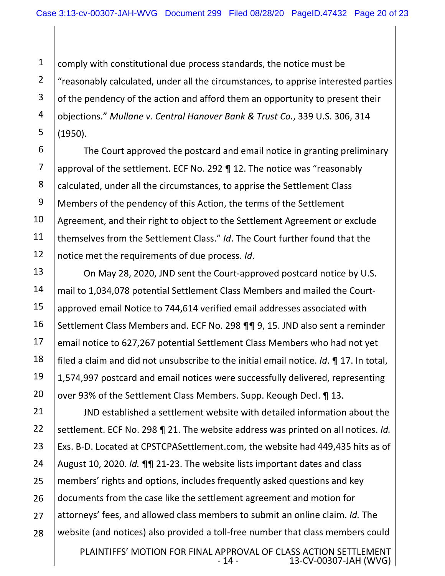1 2 3 4 5 comply with constitutional due process standards, the notice must be "reasonably calculated, under all the circumstances, to apprise interested parties of the pendency of the action and afford them an opportunity to present their objections." *Mullane v. Central Hanover Bank & Trust Co.*, 339 U.S. 306, 314 (1950).

6 7 8 9 10 11 12 The Court approved the postcard and email notice in granting preliminary approval of the settlement. ECF No. 292 ¶ 12. The notice was "reasonably calculated, under all the circumstances, to apprise the Settlement Class Members of the pendency of this Action, the terms of the Settlement Agreement, and their right to object to the Settlement Agreement or exclude themselves from the Settlement Class." *Id*. The Court further found that the notice met the requirements of due process. *Id*.

13 14 15 16 17 18 19 20 On May 28, 2020, JND sent the Court‐approved postcard notice by U.S. mail to 1,034,078 potential Settlement Class Members and mailed the Court‐ approved email Notice to 744,614 verified email addresses associated with Settlement Class Members and. ECF No. 298 ¶¶ 9, 15. JND also sent a reminder email notice to 627,267 potential Settlement Class Members who had not yet filed a claim and did not unsubscribe to the initial email notice. *Id*. ¶ 17. In total, 1,574,997 postcard and email notices were successfully delivered, representing over 93% of the Settlement Class Members. Supp. Keough Decl. ¶ 13.

21 22 23 24 25 26 27 28 JND established a settlement website with detailed information about the settlement. ECF No. 298 ¶ 21. The website address was printed on all notices. *Id.* Exs. B‐D. Located at CPSTCPASettlement.com, the website had 449,435 hits as of August 10, 2020. *Id.* ¶¶ 21‐23. The website lists important dates and class members' rights and options, includes frequently asked questions and key documents from the case like the settlement agreement and motion for attorneys' fees, and allowed class members to submit an online claim. *Id.* The website (and notices) also provided a toll‐free number that class members could

> PLAINTIFFS' MOTION FOR FINAL APPROVAL OF CLASS ACTION SETTLEMENT<br>13-CV-00307-JAH (WVG) - 14 -‐ 14 ‐ 13‐CV‐00307‐JAH (WVG)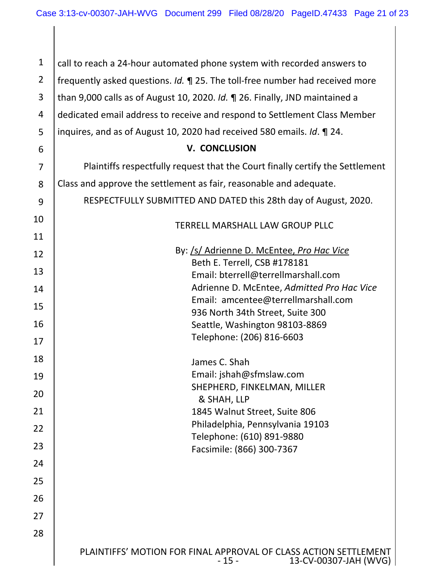| $\mathbf{1}$   | call to reach a 24-hour automated phone system with recorded answers to                             |
|----------------|-----------------------------------------------------------------------------------------------------|
| $\overline{2}$ | frequently asked questions. Id. 1 25. The toll-free number had received more                        |
| 3              | than 9,000 calls as of August 10, 2020. Id. ¶ 26. Finally, JND maintained a                         |
| 4              | dedicated email address to receive and respond to Settlement Class Member                           |
| 5              | inquires, and as of August 10, 2020 had received 580 emails. Id. 1 24.                              |
| 6              | <b>V. CONCLUSION</b>                                                                                |
| $\overline{7}$ | Plaintiffs respectfully request that the Court finally certify the Settlement                       |
| 8              | Class and approve the settlement as fair, reasonable and adequate.                                  |
|                | RESPECTFULLY SUBMITTED AND DATED this 28th day of August, 2020.                                     |
| 9              |                                                                                                     |
| 10             | <b>TERRELL MARSHALL LAW GROUP PLLC</b>                                                              |
| 11             |                                                                                                     |
| 12             | By: /s/ Adrienne D. McEntee, Pro Hac Vice<br>Beth E. Terrell, CSB #178181                           |
| 13             | Email: bterrell@terrellmarshall.com                                                                 |
| 14             | Adrienne D. McEntee, Admitted Pro Hac Vice                                                          |
|                | Email: amcentee@terrellmarshall.com                                                                 |
| 15             | 936 North 34th Street, Suite 300                                                                    |
| 16             | Seattle, Washington 98103-8869                                                                      |
| 17             | Telephone: (206) 816-6603                                                                           |
| 18             |                                                                                                     |
|                | James C. Shah                                                                                       |
| 19             | Email: jshah@sfmslaw.com                                                                            |
| 20             | SHEPHERD, FINKELMAN, MILLER<br>& SHAH, LLP                                                          |
| 21             | 1845 Walnut Street, Suite 806                                                                       |
| 22             | Philadelphia, Pennsylvania 19103                                                                    |
| 23             | Telephone: (610) 891-9880<br>Facsimile: (866) 300-7367                                              |
| 24             |                                                                                                     |
| 25             |                                                                                                     |
| 26             |                                                                                                     |
| 27             |                                                                                                     |
| 28             |                                                                                                     |
|                |                                                                                                     |
|                | PLAINTIFFS' MOTION FOR FINAL APPROVAL OF CLASS ACTION SETTLEMENT<br>13-CV-00307-JAH (WVG)<br>$-15-$ |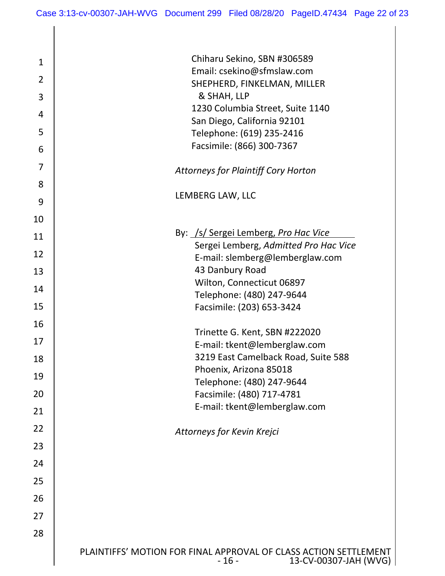| $\mathbf{1}$   | Chiharu Sekino, SBN #306589<br>Email: csekino@sfmslaw.com                                           |
|----------------|-----------------------------------------------------------------------------------------------------|
| $\overline{2}$ | SHEPHERD, FINKELMAN, MILLER                                                                         |
| 3              | & SHAH, LLP                                                                                         |
| 4              | 1230 Columbia Street, Suite 1140                                                                    |
| 5              | San Diego, California 92101<br>Telephone: (619) 235-2416                                            |
| 6              | Facsimile: (866) 300-7367                                                                           |
|                |                                                                                                     |
| 7              | <b>Attorneys for Plaintiff Cory Horton</b>                                                          |
| 8              | LEMBERG LAW, LLC                                                                                    |
| 9              |                                                                                                     |
| 10             |                                                                                                     |
| 11             | By: /s/ Sergei Lemberg, Pro Hac Vice<br>Sergei Lemberg, Admitted Pro Hac Vice                       |
| 12             | E-mail: slemberg@lemberglaw.com                                                                     |
| 13             | 43 Danbury Road                                                                                     |
| 14             | Wilton, Connecticut 06897                                                                           |
| 15             | Telephone: (480) 247-9644<br>Facsimile: (203) 653-3424                                              |
| 16             |                                                                                                     |
| 17             | Trinette G. Kent, SBN #222020                                                                       |
|                | E-mail: tkent@lemberglaw.com<br>3219 East Camelback Road, Suite 588                                 |
| 18             | Phoenix, Arizona 85018                                                                              |
| 19             | Telephone: (480) 247-9644                                                                           |
| 20             | Facsimile: (480) 717-4781                                                                           |
| 21             | E-mail: tkent@lemberglaw.com                                                                        |
| 22             | Attorneys for Kevin Krejci                                                                          |
| 23             |                                                                                                     |
| 24             |                                                                                                     |
| 25             |                                                                                                     |
| 26             |                                                                                                     |
| 27             |                                                                                                     |
| 28             |                                                                                                     |
|                |                                                                                                     |
|                | PLAINTIFFS' MOTION FOR FINAL APPROVAL OF CLASS ACTION SETTLEMENT<br>$-16-$<br>13-CV-00307-JAH (WVG) |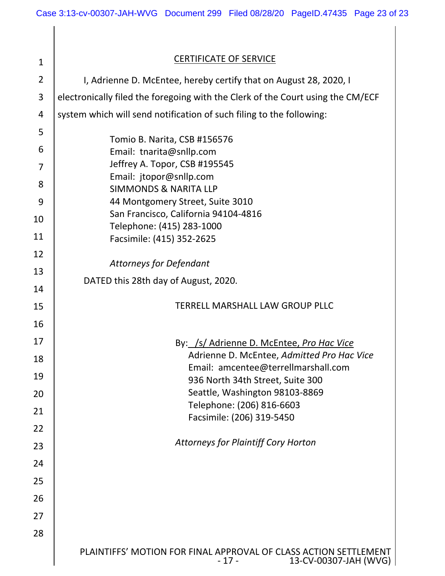$\mathbf{I}$ 

| $\mathbf{1}$   | <b>CERTIFICATE OF SERVICE</b>                                                                       |
|----------------|-----------------------------------------------------------------------------------------------------|
| $\overline{2}$ | I, Adrienne D. McEntee, hereby certify that on August 28, 2020, I                                   |
| 3              | electronically filed the foregoing with the Clerk of the Court using the CM/ECF                     |
| 4              | system which will send notification of such filing to the following:                                |
| 5              |                                                                                                     |
| 6              | Tomio B. Narita, CSB #156576<br>Email: tnarita@snllp.com                                            |
| 7              | Jeffrey A. Topor, CSB #195545                                                                       |
| 8              | Email: jtopor@snllp.com                                                                             |
| 9              | <b>SIMMONDS &amp; NARITA LLP</b><br>44 Montgomery Street, Suite 3010                                |
| 10             | San Francisco, California 94104-4816                                                                |
|                | Telephone: (415) 283-1000                                                                           |
| 11             | Facsimile: (415) 352-2625                                                                           |
| 12             | <b>Attorneys for Defendant</b>                                                                      |
| 13             | DATED this 28th day of August, 2020.                                                                |
| 14             |                                                                                                     |
| 15             | TERRELL MARSHALL LAW GROUP PLLC                                                                     |
| 16             |                                                                                                     |
| 17             | By: /s/ Adrienne D. McEntee, Pro Hac Vice                                                           |
| 18             | Adrienne D. McEntee, Admitted Pro Hac Vice<br>Email: amcentee@terrellmarshall.com                   |
| 19             | 936 North 34th Street, Suite 300                                                                    |
| 20             | Seattle, Washington 98103-8869                                                                      |
| 21             | Telephone: (206) 816-6603<br>Facsimile: (206) 319-5450                                              |
| 22             |                                                                                                     |
| 23             | <b>Attorneys for Plaintiff Cory Horton</b>                                                          |
| 24             |                                                                                                     |
| 25             |                                                                                                     |
| 26             |                                                                                                     |
| 27             |                                                                                                     |
| 28             |                                                                                                     |
|                | PLAINTIFFS' MOTION FOR FINAL APPROVAL OF CLASS ACTION SETTLEMENT<br>13-CV-00307-JAH (WVG)<br>$-17-$ |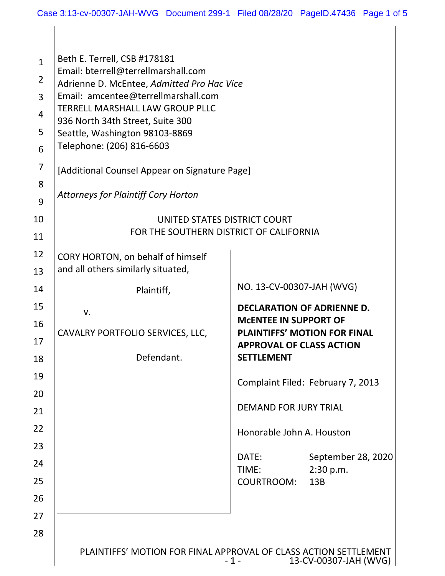H

| $\mathbf{1}$<br>$\overline{2}$<br>3<br>$\overline{4}$<br>5<br>6<br>7<br>8<br>9<br>10<br>11 | Beth E. Terrell, CSB #178181<br>Email: bterrell@terrellmarshall.com<br>Adrienne D. McEntee, Admitted Pro Hac Vice<br>Email: amcentee@terrellmarshall.com<br><b>TERRELL MARSHALL LAW GROUP PLLC</b><br>936 North 34th Street, Suite 300<br>Seattle, Washington 98103-8869<br>Telephone: (206) 816-6603<br>[Additional Counsel Appear on Signature Page]<br><b>Attorneys for Plaintiff Cory Horton</b><br>UNITED STATES DISTRICT COURT<br>FOR THE SOUTHERN DISTRICT OF CALIFORNIA |                                                                                                    |
|--------------------------------------------------------------------------------------------|---------------------------------------------------------------------------------------------------------------------------------------------------------------------------------------------------------------------------------------------------------------------------------------------------------------------------------------------------------------------------------------------------------------------------------------------------------------------------------|----------------------------------------------------------------------------------------------------|
| 12<br>13                                                                                   | CORY HORTON, on behalf of himself<br>and all others similarly situated,                                                                                                                                                                                                                                                                                                                                                                                                         |                                                                                                    |
| 14                                                                                         | Plaintiff,                                                                                                                                                                                                                                                                                                                                                                                                                                                                      | NO. 13-CV-00307-JAH (WVG)                                                                          |
| 15                                                                                         | v.                                                                                                                                                                                                                                                                                                                                                                                                                                                                              | <b>DECLARATION OF ADRIENNE D.</b>                                                                  |
| 16                                                                                         | CAVALRY PORTFOLIO SERVICES, LLC,                                                                                                                                                                                                                                                                                                                                                                                                                                                | <b>MCENTEE IN SUPPORT OF</b><br><b>PLAINTIFFS' MOTION FOR FINAL</b>                                |
| 17                                                                                         |                                                                                                                                                                                                                                                                                                                                                                                                                                                                                 | <b>APPROVAL OF CLASS ACTION</b>                                                                    |
| 18                                                                                         | Defendant.                                                                                                                                                                                                                                                                                                                                                                                                                                                                      | <b>SETTLEMENT</b>                                                                                  |
| 19                                                                                         |                                                                                                                                                                                                                                                                                                                                                                                                                                                                                 | Complaint Filed: February 7, 2013                                                                  |
| 20                                                                                         |                                                                                                                                                                                                                                                                                                                                                                                                                                                                                 |                                                                                                    |
| 21                                                                                         |                                                                                                                                                                                                                                                                                                                                                                                                                                                                                 | <b>DEMAND FOR JURY TRIAL</b>                                                                       |
| 22                                                                                         |                                                                                                                                                                                                                                                                                                                                                                                                                                                                                 | Honorable John A. Houston                                                                          |
| 23                                                                                         |                                                                                                                                                                                                                                                                                                                                                                                                                                                                                 | DATE:<br>September 28, 2020                                                                        |
| 24                                                                                         |                                                                                                                                                                                                                                                                                                                                                                                                                                                                                 | TIME:<br>2:30 p.m.                                                                                 |
| 25<br>26                                                                                   |                                                                                                                                                                                                                                                                                                                                                                                                                                                                                 | COURTROOM:<br>13B                                                                                  |
| 27                                                                                         |                                                                                                                                                                                                                                                                                                                                                                                                                                                                                 |                                                                                                    |
| 28                                                                                         |                                                                                                                                                                                                                                                                                                                                                                                                                                                                                 |                                                                                                    |
|                                                                                            |                                                                                                                                                                                                                                                                                                                                                                                                                                                                                 | PLAINTIFFS' MOTION FOR FINAL APPROVAL OF CLASS ACTION SETTLEMENT<br>13-CV-00307-JAH (WVG)<br>$-1-$ |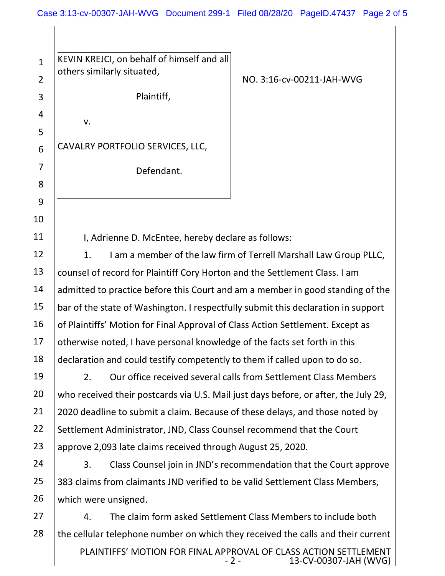KEVIN KREJCI, on behalf of himself and all others similarly situated, Plaintiff, v. CAVALRY PORTFOLIO SERVICES, LLC, Defendant.

1

2

3

4

5

6

7

8

9

10

11

NO. 3:16‐cv‐00211‐JAH‐WVG

I, Adrienne D. McEntee, hereby declare as follows:

12 13 14 15 16 17 18 1. I am a member of the law firm of Terrell Marshall Law Group PLLC, counsel of record for Plaintiff Cory Horton and the Settlement Class. I am admitted to practice before this Court and am a member in good standing of the bar of the state of Washington. I respectfully submit this declaration in support of Plaintiffs' Motion for Final Approval of Class Action Settlement. Except as otherwise noted, I have personal knowledge of the facts set forth in this declaration and could testify competently to them if called upon to do so.

19 20 21 22 23 2. Our office received several calls from Settlement Class Members who received their postcards via U.S. Mail just days before, or after, the July 29, 2020 deadline to submit a claim. Because of these delays, and those noted by Settlement Administrator, JND, Class Counsel recommend that the Court approve 2,093 late claims received through August 25, 2020.

24 25 26 3. Class Counsel join in JND's recommendation that the Court approve 383 claims from claimants JND verified to be valid Settlement Class Members, which were unsigned.

PLAINTIFFS' MOTION FOR FINAL APPROVAL OF CLASS ACTION SETTLEMENT<br>2 - 13-CV-00307-JAH (WVG) ‐ 2 ‐ 13‐CV‐00307‐JAH (WVG) 27 28 4. The claim form asked Settlement Class Members to include both the cellular telephone number on which they received the calls and their current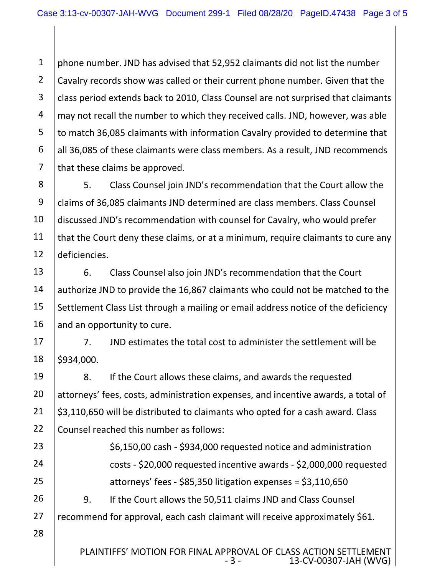1 2 3 4 5 6 7 phone number. JND has advised that 52,952 claimants did not list the number Cavalry records show was called or their current phone number. Given that the class period extends back to 2010, Class Counsel are not surprised that claimants may not recall the number to which they received calls. JND, however, was able to match 36,085 claimants with information Cavalry provided to determine that all 36,085 of these claimants were class members. As a result, JND recommends that these claims be approved.

8 9 10 11 12 5. Class Counsel join JND's recommendation that the Court allow the claims of 36,085 claimants JND determined are class members. Class Counsel discussed JND's recommendation with counsel for Cavalry, who would prefer that the Court deny these claims, or at a minimum, require claimants to cure any deficiencies.

13 14 15 16 6. Class Counsel also join JND's recommendation that the Court authorize JND to provide the 16,867 claimants who could not be matched to the Settlement Class List through a mailing or email address notice of the deficiency and an opportunity to cure.

17 18 7. JND estimates the total cost to administer the settlement will be \$934,000.

19 20 21 22 8. If the Court allows these claims, and awards the requested attorneys' fees, costs, administration expenses, and incentive awards, a total of \$3,110,650 will be distributed to claimants who opted for a cash award. Class Counsel reached this number as follows:

23 24 25 26 27 28 \$6,150,00 cash ‐ \$934,000 requested notice and administration costs ‐ \$20,000 requested incentive awards ‐ \$2,000,000 requested attorneys' fees ‐ \$85,350 litigation expenses = \$3,110,650 9. If the Court allows the 50,511 claims JND and Class Counsel recommend for approval, each cash claimant will receive approximately \$61.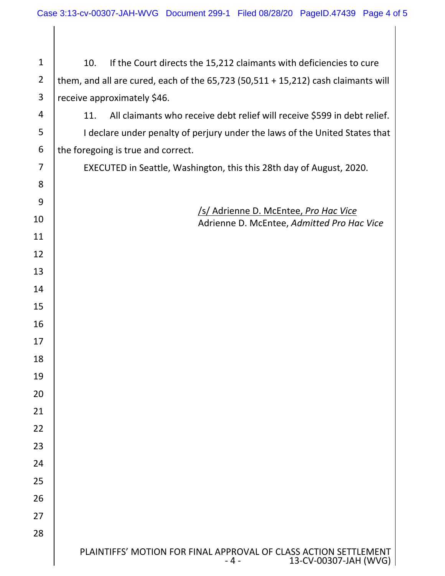| $\mathbf{1}$   | 10.<br>If the Court directs the 15,212 claimants with deficiencies to cure                         |
|----------------|----------------------------------------------------------------------------------------------------|
| $\overline{2}$ | them, and all are cured, each of the $65,723$ (50,511 + 15,212) cash claimants will                |
| $\mathsf{3}$   | receive approximately \$46.                                                                        |
| 4              | All claimants who receive debt relief will receive \$599 in debt relief.<br>11.                    |
| 5              | I declare under penalty of perjury under the laws of the United States that                        |
| 6              | the foregoing is true and correct.                                                                 |
| 7              | EXECUTED in Seattle, Washington, this this 28th day of August, 2020.                               |
| 8              |                                                                                                    |
| 9              |                                                                                                    |
| 10             | S/ Adrienne D. McEntee, Pro Hac Vice<br>Adrienne D. McEntee, Admitted Pro Hac Vice                 |
| 11             |                                                                                                    |
| 12             |                                                                                                    |
| 13             |                                                                                                    |
| 14             |                                                                                                    |
| 15             |                                                                                                    |
| 16             |                                                                                                    |
| 17             |                                                                                                    |
| 18             |                                                                                                    |
| 19             |                                                                                                    |
| 20             |                                                                                                    |
| 21             |                                                                                                    |
| 22             |                                                                                                    |
| 23             |                                                                                                    |
| 24             |                                                                                                    |
| 25             |                                                                                                    |
| 26             |                                                                                                    |
| 27             |                                                                                                    |
| 28             |                                                                                                    |
|                | PLAINTIFFS' MOTION FOR FINAL APPROVAL OF CLASS ACTION SETTLEMENT<br>13-CV-00307-JAH (WVG)<br>- 4 - |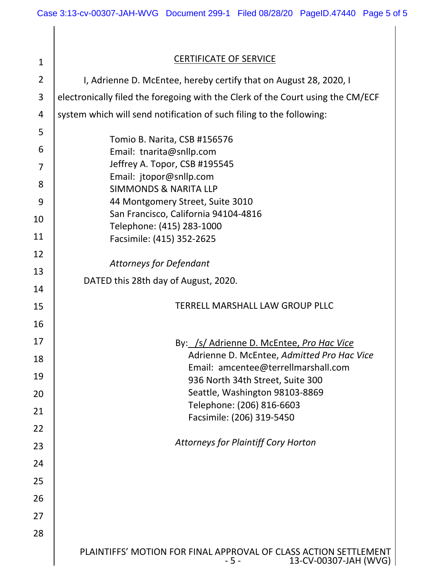| $\mathbf{1}$   | <b>CERTIFICATE OF SERVICE</b>                                                                      |
|----------------|----------------------------------------------------------------------------------------------------|
| $\overline{2}$ | I, Adrienne D. McEntee, hereby certify that on August 28, 2020, I                                  |
| 3              | electronically filed the foregoing with the Clerk of the Court using the CM/ECF                    |
| 4              | system which will send notification of such filing to the following:                               |
| 5              |                                                                                                    |
| 6              | Tomio B. Narita, CSB #156576<br>Email: tnarita@snllp.com                                           |
| $\overline{7}$ | Jeffrey A. Topor, CSB #195545                                                                      |
| 8              | Email: jtopor@snllp.com                                                                            |
| 9              | <b>SIMMONDS &amp; NARITA LLP</b><br>44 Montgomery Street, Suite 3010                               |
|                | San Francisco, California 94104-4816                                                               |
| 10             | Telephone: (415) 283-1000                                                                          |
| 11             | Facsimile: (415) 352-2625                                                                          |
| 12             | <b>Attorneys for Defendant</b>                                                                     |
| 13             | DATED this 28th day of August, 2020.                                                               |
| 14             |                                                                                                    |
| 15             | <b>TERRELL MARSHALL LAW GROUP PLLC</b>                                                             |
| 16             |                                                                                                    |
| 17             | By: /s/ Adrienne D. McEntee, Pro Hac Vice                                                          |
| 18             | Adrienne D. McEntee, Admitted Pro Hac Vice                                                         |
| 19             | Email: amcentee@terrellmarshall.com<br>936 North 34th Street, Suite 300                            |
| 20             | Seattle, Washington 98103-8869                                                                     |
| 21             | Telephone: (206) 816-6603                                                                          |
| 22             | Facsimile: (206) 319-5450                                                                          |
|                | <b>Attorneys for Plaintiff Cory Horton</b>                                                         |
| 23             |                                                                                                    |
| 24             |                                                                                                    |
| 25             |                                                                                                    |
| 26             |                                                                                                    |
| 27             |                                                                                                    |
| 28             |                                                                                                    |
|                | PLAINTIFFS' MOTION FOR FINAL APPROVAL OF CLASS ACTION SETTLEMENT<br>13-CV-00307-JAH (WVG)<br>$-5-$ |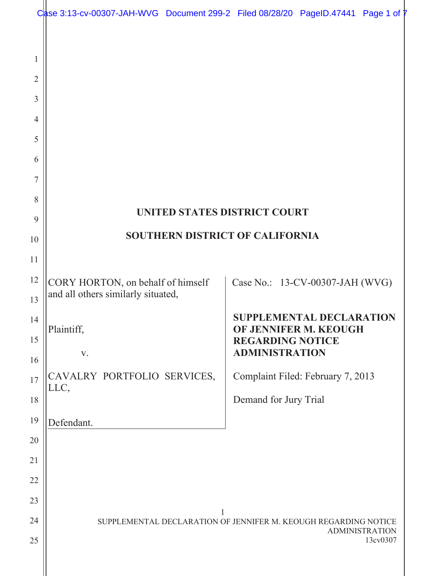|                | Case 3:13-cv-00307-JAH-WVG Document 299-2 Filed 08/28/20 PageID.47441 Page 1 of T |  |                                                                                     |  |                                   |  |
|----------------|-----------------------------------------------------------------------------------|--|-------------------------------------------------------------------------------------|--|-----------------------------------|--|
|                |                                                                                   |  |                                                                                     |  |                                   |  |
| 1              |                                                                                   |  |                                                                                     |  |                                   |  |
| $\overline{2}$ |                                                                                   |  |                                                                                     |  |                                   |  |
| 3              |                                                                                   |  |                                                                                     |  |                                   |  |
| 4              |                                                                                   |  |                                                                                     |  |                                   |  |
| 5              |                                                                                   |  |                                                                                     |  |                                   |  |
| 6              |                                                                                   |  |                                                                                     |  |                                   |  |
| 7              |                                                                                   |  |                                                                                     |  |                                   |  |
| 8              |                                                                                   |  | UNITED STATES DISTRICT COURT                                                        |  |                                   |  |
| 9              |                                                                                   |  |                                                                                     |  |                                   |  |
| 10             | <b>SOUTHERN DISTRICT OF CALIFORNIA</b>                                            |  |                                                                                     |  |                                   |  |
| 11             |                                                                                   |  |                                                                                     |  |                                   |  |
| 12<br>13       | CORY HORTON, on behalf of himself<br>and all others similarly situated,           |  | Case No.: 13-CV-00307-JAH (WVG)                                                     |  |                                   |  |
| 14<br>15       | Plaintiff,                                                                        |  | <b>SUPPLEMENTAL DECLARATION</b><br>OF JENNIFER M. KEOUGH<br><b>REGARDING NOTICE</b> |  |                                   |  |
| 16             | V.                                                                                |  | <b>ADMINISTRATION</b>                                                               |  |                                   |  |
| 17             | CAVALRY PORTFOLIO SERVICES,<br>LLC,                                               |  | Complaint Filed: February 7, 2013                                                   |  |                                   |  |
| 18             |                                                                                   |  | Demand for Jury Trial                                                               |  |                                   |  |
| 19             | Defendant.                                                                        |  |                                                                                     |  |                                   |  |
| 20             |                                                                                   |  |                                                                                     |  |                                   |  |
| 21             |                                                                                   |  |                                                                                     |  |                                   |  |
| 22             |                                                                                   |  |                                                                                     |  |                                   |  |
| 23             |                                                                                   |  |                                                                                     |  |                                   |  |
| 24<br>25       | SUPPLEMENTAL DECLARATION OF JENNIFER M. KEOUGH REGARDING NOTICE                   |  |                                                                                     |  | <b>ADMINISTRATION</b><br>13cv0307 |  |
|                |                                                                                   |  |                                                                                     |  |                                   |  |

 $\parallel$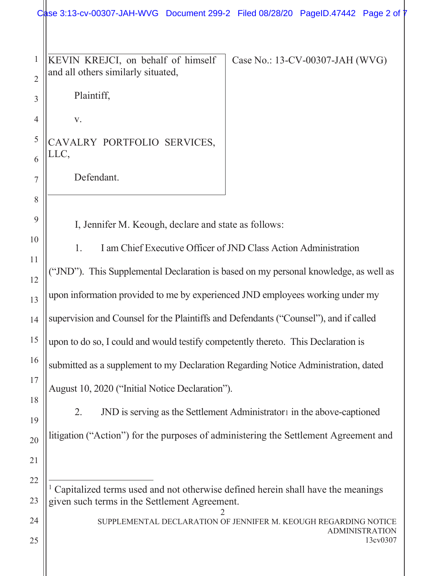Case 3:13-cv-00307-JAH-WVG Document 299-2 Filed 08/28/20 PageID.47442 Page 2 of 1

KEVIN KREJCI, on behalf of himself and all others similarly situated,

Case No.: 13-CV-00307-JAH (WVG)

Plaintiff,

v.

1

 $\overline{2}$ 

CAVALRY PORTFOLIO SERVICES, LLC,

Defendant.

I, Jennifer M. Keough, declare and state as follows:

1. I am Chief Executive Officer of JND Class Action Administration ("JND"). This Supplemental Declaration is based on my personal knowledge, as well as upon information provided to me by experienced JND employees working under my supervision and Counsel for the Plaintiffs and Defendants ("Counsel"), and if called upon to do so, I could and would testify competently thereto. This Declaration is submitted as a supplement to my Declaration Regarding Notice Administration, dated August 10, 2020 ("Initial Notice Declaration").

2. JND is serving as the Settlement Administrator in the above-captioned litigation ("Action") for the purposes of administering the Settlement Agreement and

1 Capitalized terms used and not otherwise defined herein shall have the meanings given such terms in the Settlement Agreement.

> 2 SUPPLEMENTAL DECLARATION OF JENNIFER M. KEOUGH REGARDING NOTICE ADMINISTRATION 13cv0307

25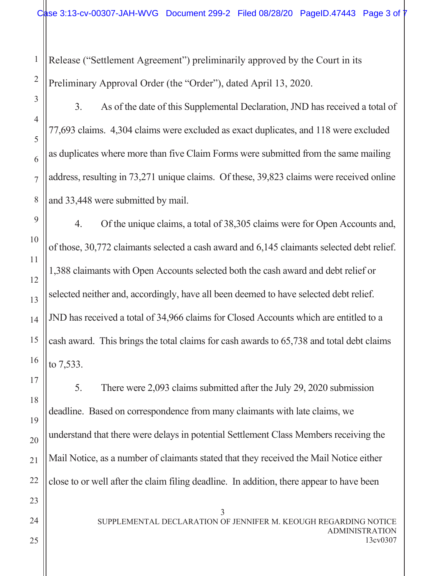Release ("Settlement Agreement") preliminarily approved by the Court in its Preliminary Approval Order (the "Order"), dated April 13, 2020.

3. As of the date of this Supplemental Declaration, JND has received a total of 77,693 claims. 4,304 claims were excluded as exact duplicates, and 118 were excluded as duplicates where more than five Claim Forms were submitted from the same mailing address, resulting in 73,271 unique claims. Of these, 39,823 claims were received online and 33,448 were submitted by mail.

4. Of the unique claims, a total of 38,305 claims were for Open Accounts and, of those, 30,772 claimants selected a cash award and 6,145 claimants selected debt relief. 1,388 claimants with Open Accounts selected both the cash award and debt relief or selected neither and, accordingly, have all been deemed to have selected debt relief. JND has received a total of 34,966 claims for Closed Accounts which are entitled to a cash award. This brings the total claims for cash awards to 65,738 and total debt claims to 7,533.

3 5. There were 2,093 claims submitted after the July 29, 2020 submission deadline. Based on correspondence from many claimants with late claims, we understand that there were delays in potential Settlement Class Members receiving the Mail Notice, as a number of claimants stated that they received the Mail Notice either close to or well after the claim filing deadline. In addition, there appear to have been

SUPPLEMENTAL DECLARATION OF JENNIFER M. KEOUGH REGARDING NOTICE ADMINISTRATION 13cv0307

1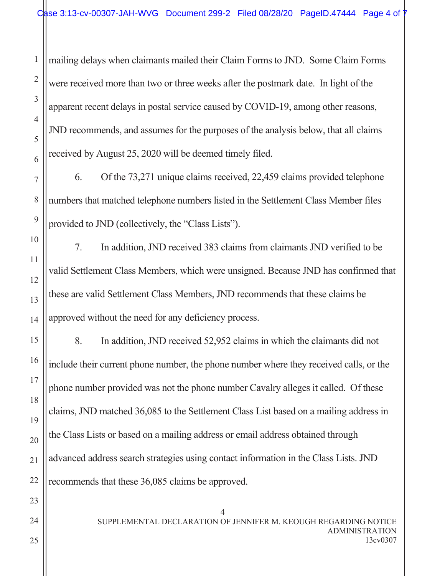mailing delays when claimants mailed their Claim Forms to JND. Some Claim Forms were received more than two or three weeks after the postmark date. In light of the apparent recent delays in postal service caused by COVID-19, among other reasons, JND recommends, and assumes for the purposes of the analysis below, that all claims received by August 25, 2020 will be deemed timely filed.

6. Of the 73,271 unique claims received, 22,459 claims provided telephone numbers that matched telephone numbers listed in the Settlement Class Member files provided to JND (collectively, the "Class Lists").

7. In addition, JND received 383 claims from claimants JND verified to be valid Settlement Class Members, which were unsigned. Because JND has confirmed that these are valid Settlement Class Members, JND recommends that these claims be approved without the need for any deficiency process.

8. In addition, JND received 52,952 claims in which the claimants did not include their current phone number, the phone number where they received calls, or the phone number provided was not the phone number Cavalry alleges it called. Of these claims, JND matched 36,085 to the Settlement Class List based on a mailing address in the Class Lists or based on a mailing address or email address obtained through advanced address search strategies using contact information in the Class Lists. JND recommends that these 36,085 claims be approved.

> 4 SUPPLEMENTAL DECLARATION OF JENNIFER M. KEOUGH REGARDING NOTICE ADMINISTRATION 13cv0307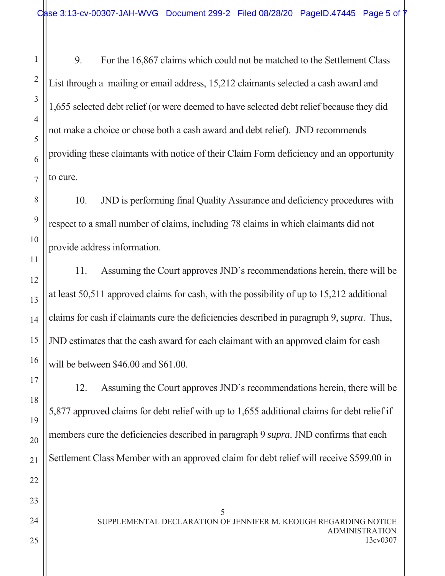9. For the 16,867 claims which could not be matched to the Settlement Class List through a mailing or email address, 15,212 claimants selected a cash award and 1,655 selected debt relief (or were deemed to have selected debt relief because they did not make a choice or chose both a cash award and debt relief). JND recommends providing these claimants with notice of their Claim Form deficiency and an opportunity to cure.

10. JND is performing final Quality Assurance and deficiency procedures with respect to a small number of claims, including 78 claims in which claimants did not provide address information.

11. Assuming the Court approves JND's recommendations herein, there will be at least 50,511 approved claims for cash, with the possibility of up to 15,212 additional claims for cash if claimants cure the deficiencies described in paragraph 9, *supra*. Thus, JND estimates that the cash award for each claimant with an approved claim for cash will be between \$46.00 and \$61.00.

12. Assuming the Court approves JND's recommendations herein, there will be 5,877 approved claims for debt relief with up to 1,655 additional claims for debt relief if members cure the deficiencies described in paragraph 9 *supra*. JND confirms that each Settlement Class Member with an approved claim for debt relief will receive \$599.00 in

> 5 SUPPLEMENTAL DECLARATION OF JENNIFER M. KEOUGH REGARDING NOTICE ADMINISTRATION 13cv0307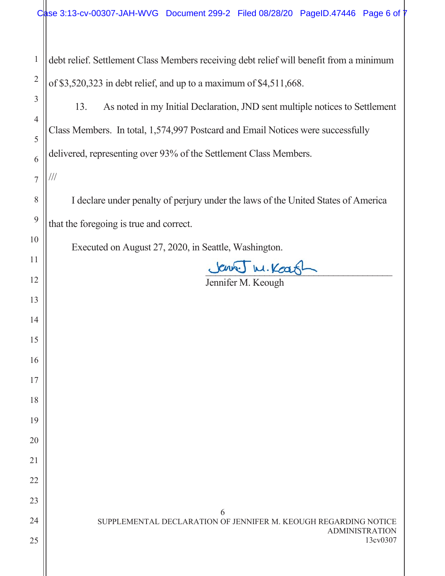| $\mathbf{1}$   | debt relief. Settlement Class Members receiving debt relief will benefit from a minimum |  |  |  |  |
|----------------|-----------------------------------------------------------------------------------------|--|--|--|--|
| $\overline{2}$ | of \$3,520,323 in debt relief, and up to a maximum of \$4,511,668.                      |  |  |  |  |
| 3              | As noted in my Initial Declaration, JND sent multiple notices to Settlement<br>13.      |  |  |  |  |
| $\overline{4}$ |                                                                                         |  |  |  |  |
| 5              | Class Members. In total, 1,574,997 Postcard and Email Notices were successfully         |  |  |  |  |
| 6              | delivered, representing over 93% of the Settlement Class Members.                       |  |  |  |  |
| $\overline{7}$ | ///                                                                                     |  |  |  |  |
| 8              | I declare under penalty of perjury under the laws of the United States of America       |  |  |  |  |
| 9              | that the foregoing is true and correct.                                                 |  |  |  |  |
| 10             | Executed on August 27, 2020, in Seattle, Washington.                                    |  |  |  |  |
| 11             | Jenny W. Kear                                                                           |  |  |  |  |
| 12             | Jennifer M. Keough                                                                      |  |  |  |  |
| 13             |                                                                                         |  |  |  |  |
| 14             |                                                                                         |  |  |  |  |
| 15             |                                                                                         |  |  |  |  |
| 16             |                                                                                         |  |  |  |  |
| 17             |                                                                                         |  |  |  |  |
| 18             |                                                                                         |  |  |  |  |
| 19             |                                                                                         |  |  |  |  |
| 20             |                                                                                         |  |  |  |  |
| 21             |                                                                                         |  |  |  |  |
| 22             |                                                                                         |  |  |  |  |
| 23             |                                                                                         |  |  |  |  |
| 24             | 6<br>SUPPLEMENTAL DECLARATION OF JENNIFER M. KEOUGH REGARDING NOTICE                    |  |  |  |  |
| 25             | <b>ADMINISTRATION</b><br>13cv0307                                                       |  |  |  |  |
|                |                                                                                         |  |  |  |  |